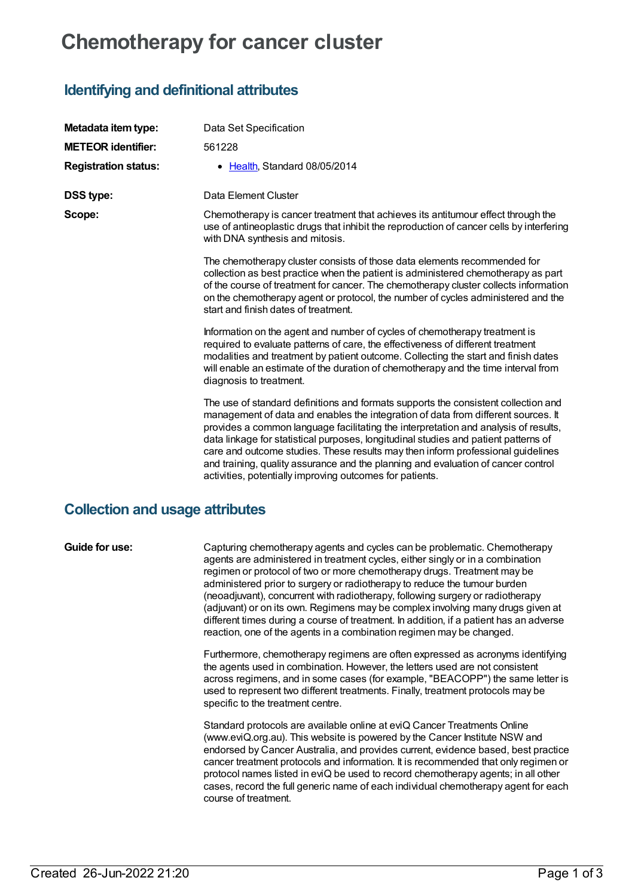# **Chemotherapy for cancer cluster**

## **Identifying and definitional attributes**

| Metadata item type:         | Data Set Specification                                                                                                                                                                                                                                                                                                                                                                                                                                                                                                                                                                    |
|-----------------------------|-------------------------------------------------------------------------------------------------------------------------------------------------------------------------------------------------------------------------------------------------------------------------------------------------------------------------------------------------------------------------------------------------------------------------------------------------------------------------------------------------------------------------------------------------------------------------------------------|
| <b>METEOR identifier:</b>   | 561228                                                                                                                                                                                                                                                                                                                                                                                                                                                                                                                                                                                    |
| <b>Registration status:</b> | • Health, Standard 08/05/2014                                                                                                                                                                                                                                                                                                                                                                                                                                                                                                                                                             |
| <b>DSS type:</b>            | Data Element Cluster                                                                                                                                                                                                                                                                                                                                                                                                                                                                                                                                                                      |
| Scope:                      | Chemotherapy is cancer treatment that achieves its antitumour effect through the<br>use of antineoplastic drugs that inhibit the reproduction of cancer cells by interfering<br>with DNA synthesis and mitosis.                                                                                                                                                                                                                                                                                                                                                                           |
|                             | The chemotherapy cluster consists of those data elements recommended for<br>collection as best practice when the patient is administered chemotherapy as part<br>of the course of treatment for cancer. The chemotherapy cluster collects information<br>on the chemotherapy agent or protocol, the number of cycles administered and the<br>start and finish dates of treatment.                                                                                                                                                                                                         |
|                             | Information on the agent and number of cycles of chemotherapy treatment is<br>required to evaluate patterns of care, the effectiveness of different treatment<br>modalities and treatment by patient outcome. Collecting the start and finish dates<br>will enable an estimate of the duration of chemotherapy and the time interval from<br>diagnosis to treatment.                                                                                                                                                                                                                      |
|                             | The use of standard definitions and formats supports the consistent collection and<br>management of data and enables the integration of data from different sources. It<br>provides a common language facilitating the interpretation and analysis of results,<br>data linkage for statistical purposes, longitudinal studies and patient patterns of<br>care and outcome studies. These results may then inform professional guidelines<br>and training, quality assurance and the planning and evaluation of cancer control<br>activities, potentially improving outcomes for patients. |

### **Collection and usage attributes**

**Guide for use:** Capturing chemotherapy agents and cycles can be problematic. Chemotherapy agents are administered in treatment cycles, either singly or in a combination regimen or protocol of two or more chemotherapy drugs. Treatment may be administered prior to surgery or radiotherapy to reduce the tumour burden (neoadjuvant), concurrent with radiotherapy, following surgery or radiotherapy (adjuvant) or on its own. Regimens may be complex involving many drugs given at different times during a course of treatment. In addition, if a patient has an adverse reaction, one of the agents in a combination regimen may be changed.

> Furthermore, chemotherapy regimens are often expressed as acronyms identifying the agents used in combination. However, the letters used are not consistent across regimens, and in some cases (for example, "BEACOPP") the same letter is used to represent two different treatments. Finally, treatment protocols may be specific to the treatment centre.

> Standard protocols are available online at eviQ Cancer Treatments Online (www.eviQ.org.au). This website is powered by the Cancer Institute NSW and endorsed by Cancer Australia, and provides current, evidence based, best practice cancer treatment protocols and information. It is recommended that only regimen or protocol names listed in eviQ be used to record chemotherapy agents; in all other cases, record the full generic name of each individual chemotherapy agent for each course of treatment.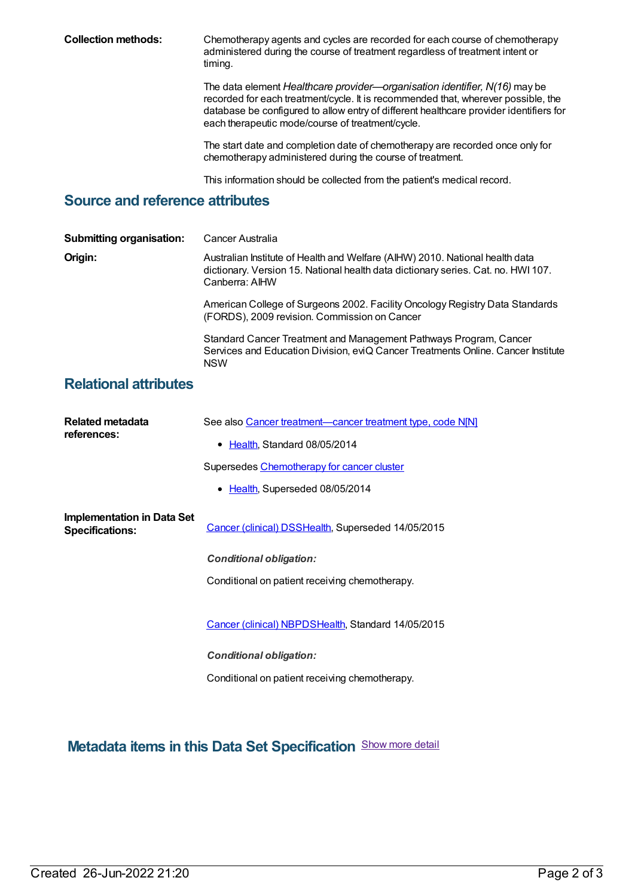**Collection methods:** Chemotherapy agents and cycles are recorded for each course of chemotherapy administered during the course of treatment regardless of treatment intent or timing.

> The data element *Healthcare provider—organisation identifier, N(16)* may be recorded for each treatment/cycle. It is recommended that, wherever possible, the database be configured to allow entry of different healthcare provider identifiers for each therapeutic mode/course of treatment/cycle.

The start date and completion date of chemotherapy are recorded once only for chemotherapy administered during the course of treatment.

This information should be collected from the patient's medical record.

#### **Source and reference attributes**

| <b>Submitting organisation:</b> | Cancer Australia                                                                                                                                                                    |
|---------------------------------|-------------------------------------------------------------------------------------------------------------------------------------------------------------------------------------|
| Origin:                         | Australian Institute of Health and Welfare (AIHW) 2010. National health data<br>dictionary. Version 15. National health data dictionary series. Cat. no. HWI 107.<br>Canberra: AIHW |
|                                 | American College of Surgeons 2002. Facility Oncology Registry Data Standards<br>(FORDS), 2009 revision. Commission on Cancer                                                        |
|                                 | Standard Cancer Treatment and Management Pathways Program, Cancer<br>Services and Education Division, eviQ Cancer Treatments Online. Cancer Institute<br><b>NSW</b>                 |
|                                 |                                                                                                                                                                                     |

#### **Relational attributes**

| Related metadata<br>references:                             | See also Cancer treatment—cancer treatment type, code N[N]<br>• Health, Standard 08/05/2014 |
|-------------------------------------------------------------|---------------------------------------------------------------------------------------------|
|                                                             | Supersedes Chemotherapy for cancer cluster                                                  |
|                                                             | • Health, Superseded 08/05/2014                                                             |
| <b>Implementation in Data Set</b><br><b>Specifications:</b> | Cancer (clinical) DSSHealth, Superseded 14/05/2015                                          |
|                                                             | <b>Conditional obligation:</b>                                                              |
|                                                             | Conditional on patient receiving chemotherapy.                                              |
|                                                             | Cancer (clinical) NBPDSHealth, Standard 14/05/2015                                          |
|                                                             | <b>Conditional obligation:</b>                                                              |

Conditional on patient receiving chemotherapy.

**Metadata items in this Data Set Specification** Show more detail